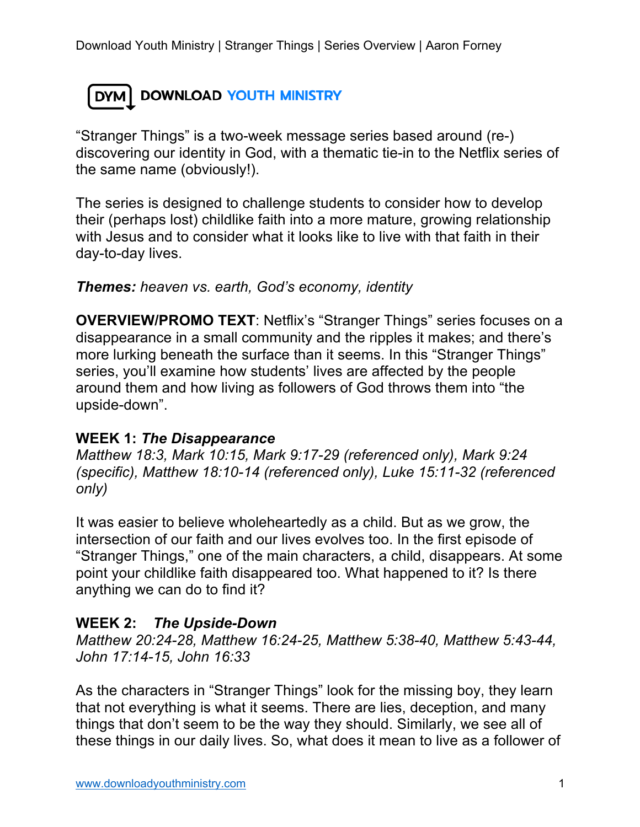## DYM DOWNLOAD YOUTH MINISTRY

"Stranger Things" is a two-week message series based around (re-) discovering our identity in God, with a thematic tie-in to the Netflix series of the same name (obviously!).

The series is designed to challenge students to consider how to develop their (perhaps lost) childlike faith into a more mature, growing relationship with Jesus and to consider what it looks like to live with that faith in their day-to-day lives.

*Themes: heaven vs. earth, God's economy, identity*

**OVERVIEW/PROMO TEXT**: Netflix's "Stranger Things" series focuses on a disappearance in a small community and the ripples it makes; and there's more lurking beneath the surface than it seems. In this "Stranger Things" series, you'll examine how students' lives are affected by the people around them and how living as followers of God throws them into "the upside-down".

## **WEEK 1:** *The Disappearance*

*Matthew 18:3, Mark 10:15, Mark 9:17-29 (referenced only), Mark 9:24 (specific), Matthew 18:10-14 (referenced only), Luke 15:11-32 (referenced only)*

It was easier to believe wholeheartedly as a child. But as we grow, the intersection of our faith and our lives evolves too. In the first episode of "Stranger Things," one of the main characters, a child, disappears. At some point your childlike faith disappeared too. What happened to it? Is there anything we can do to find it?

## **WEEK 2:** *The Upside-Down*

*Matthew 20:24-28, Matthew 16:24-25, Matthew 5:38-40, Matthew 5:43-44, John 17:14-15, John 16:33*

As the characters in "Stranger Things" look for the missing boy, they learn that not everything is what it seems. There are lies, deception, and many things that don't seem to be the way they should. Similarly, we see all of these things in our daily lives. So, what does it mean to live as a follower of